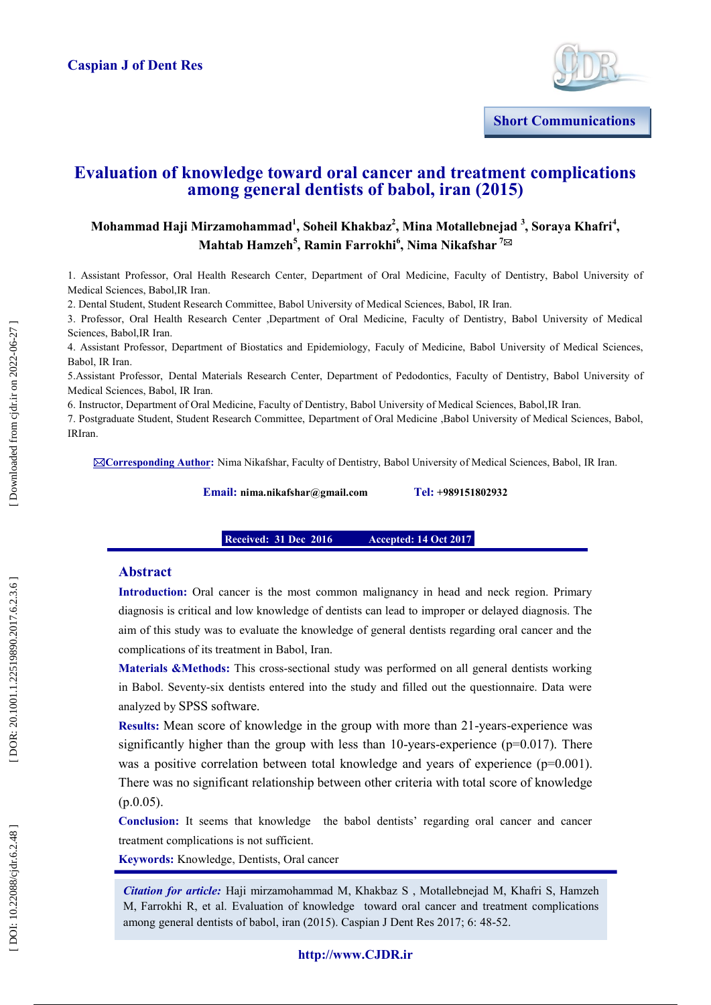

**Short Communications**

# **Evaluation of knowledge toward oral cancer and treatment complications among general dentists of babol, iran (2015)**

# Mohammad Haji Mirzamohammad<sup>1</sup>, Soheil Khakbaz<sup>2</sup>, Mina Motallebnejad <sup>3</sup>, Soraya Khafri<sup>4</sup>,  $\mathbf{M}$ ahtab Hamzeh<sup>5</sup>, Ramin Farrokhi $^6$ , Nima Nikafshar <sup>7⊠</sup>

1. Assistant Professor, Oral Health Research Center, Department of Oral Medicine, Faculty of Dentistry, Babol University of Medical Sciences, Babol,IR Iran.

2. Dental Student, Student Research Committee , Babol University of Medical Sciences, Babol, IR Iran.

3. Professor, Oral Health Research Center ,Department of Oral Medicine, Faculty of Dentistry, Babol University of Medical Sciences, Babol,IR Iran.

4. Assistant Professor, Department of Biostatics and Epidemiology, Faculy of Medicine, Babol University of Medical Sciences, Babol, IR Iran.

5.Assistant Professor, Dental Materials Research Center, Department of Pedodontics, Faculty of Dentistry, Babol University of Medical Sciences, Babol, IR Iran.

6. Instructor, Department of Oral Medicine, Faculty of Dentistry, Babol University of Medical Sciences, Babol,IR Iran.

7. Postgraduate Student, Student Research Committee, Department of Oral Medicine ,Babol University of Medical Sciences, Babol, IRIran.

**Corresponding Author :** Nima Nikafshar, Faculty of Dentistry, Babol University of Medical Sciences, Babol, IR Iran.

**Email: nima.nikafshar@gmail.com Tel: +989151802932**

**Received: 31 Dec 2016 Accepted: 14 Oct 2017** 

## **Abstract**

**Oct 2017 Accepted: 26 Sep 2017uly 201511414**

**Introduction:** Oral cancer is the most common malignancy in head and neck region. Primary diagnosis is critical and low knowledge of dentists can lead to improper or delayed diagnosis. The aim of this study was to evaluate the knowledge of general dentists regarding oral cancer and the complications of its treatment in Babol, Iran.

**Materials &Methods:** This cross-sectional study was performed on all general dentists working in Babol. Seventy -six dentists entered into the study and filled out the questionnaire. Data were analyzed by SPSS software .

Results: Mean score of knowledge in the group with more than 21-years-experience was significantly higher than the group with less than 10-years-experience (p=0.017). There was a positive correlation between total knowledge and years of experience  $(p=0.001)$ . There was no s ignificant relationship between other criteria with total score of knowledge (p.0.05).

**Conclusion:** It seems that knowledge the babol dentists' regarding oral cancer and cancer treatment complications is not sufficient.

**Keywords:** Knowledge, Dentists, Oral cancer

Citation for article: Haji mirzamohammad M, Khakbaz S, Motallebnejad M, Khafri S, Hamzeh M, Farrokhi R, et al. Evaluation of knowledge toward oral cancer and treatment complications among general dentists of babol, iran (2015). Caspian J Dent Res 2017; 6: 48 -52.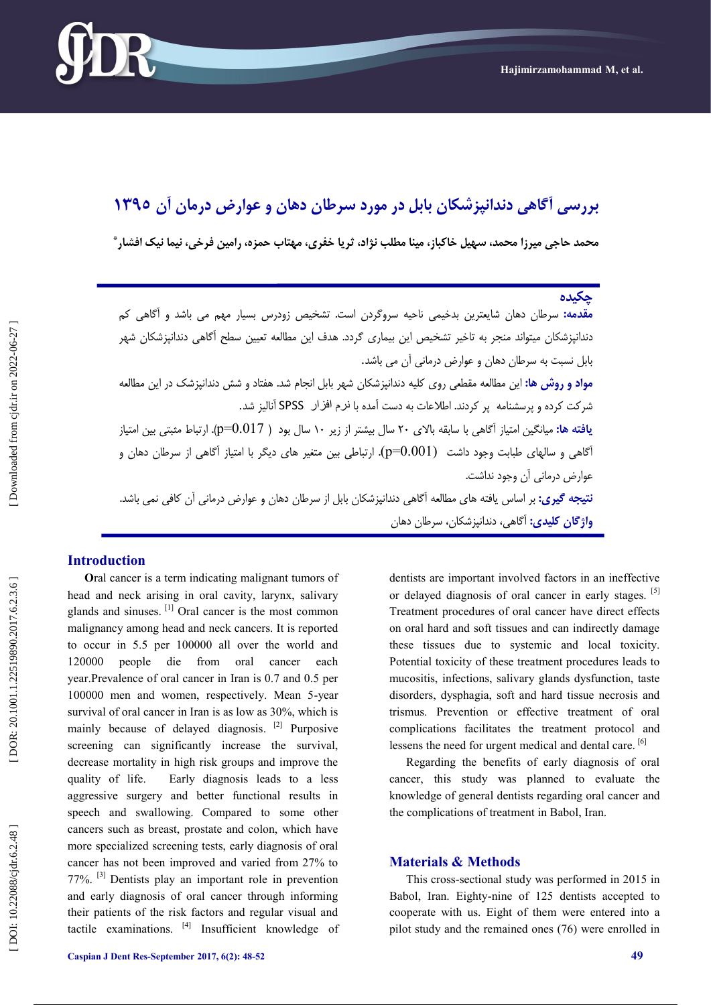

# **عًارض درمان آن 5931 تررسی آگاَی دوداوپسشکان تاتل در مًرد سرطان دَان ي**

**محمد حاجی میرزا محمد، سُیل خاکثاز، میىا مطلة وصاد، ثریا خفری، مُتاب حمس،ٌ رامیه فرخی، ویما ویک افشار \***

# \_<br>جکيده

| <mark>مقدمه:</mark> سرطان دهان شایعترین بدخیمی ناحیه سروگردن است. تشخیص زودرس بسیار مهم می باشد و اَگاهی کم               |
|---------------------------------------------------------------------------------------------------------------------------|
| دندانپزشکان میتواند منجر به تاخیر تشخیص این بیماری گردد. هدف این مطالعه تعیین سطح آگاهی دندانپزشکان شهر                   |
| بابل نسبت به سرطان دهان و عوارض درمانی آن می باشد.                                                                        |
| <mark>مواد و روش ها:</mark> این مطالعه مقطعی روی کلیه دندانپزشکان شهر بابل انجام شد. هفتاد و شش دندانپزشک در این مطالعه   |
| شرکت کرده و پرسشنامه  پر کردند. اطلاعات به دست آمده با نرم افزار  SPSS آنالیز شد.                                         |
| <b>یافته ها:</b> میانگین امتیاز آگاهی با سابقه بالای ۲۰ سال بیشتر از زیر ۱۰ سال بود ( p=0.017). ارتباط مثبتی بین امتیاز   |
| أگاهی و سالهای طبابت وجود داشت   (p=0.001). ارتباطی بین متغیر های دیگر با امتیاز أگاهی از سرطان دهان و                    |
| عوارض درمانی آن وجود نداشت.                                                                                               |
| <mark>نتیجه گیری:</mark> بر اساس یافته های مطالعه اَگاهی دندانپزشکان بابل از سرطان دهان و عوارض درمانی اَن کافی نمی باشد. |
| <b>واژگان کلیدی:</b> آگاهی، دندانپزشکان، سرطان دهان                                                                       |

## **Introduction**

**O**ral cancer is a term indicating malignant tumors of head and neck arising in oral cavity, larynx, salivary glands and sinuses. [1] Oral cancer is the most common malignancy among head and neck cancers. It is reported to occur in 5.5 per 100000 all over the world and 120000 people die from oral cancer each year .Prevalence of oral cancer in Iran is 0.7 and 0.5 per 100000 men and women, respectively. Mean 5-year survival of oral cancer in Iran is as low as 30%, which is mainly because of delayed diagnosis.<sup>[2]</sup> Purposive screening can significantly increase the survival, decrease mortality in high risk groups and improve the quality of life. Early diagnosis leads to a less aggressive surgery and better functional results in speech and swallowing. Compared to some other cancers such as breast, prostate and colon, which have more specialized screening tests, early diagnosis of oral cancer has not been improved and varied from 27% to 77%. [ 3] Dentists play an important role in prevention and early diagnosis of oral cancer through informing their patients of the risk factors and regular visual and tactile examinations. <sup>[4]</sup> Insufficient knowledge of dentists are important involved factors in an ineffective or delayed diagnosis of oral cancer in early stages. [5] Treatment procedures of oral cancer have direct effects on oral hard and soft tissues and can indirectly damage these tissues due to systemic and local toxicity. Potential toxicity of these treatment procedures leads to mucositis, infections, salivary glands dysfunction, taste disorders, dysphagia, soft and hard tissue necrosis and trismus. Prevention or effective treatment of oral complications facilitates the treatment protocol and lessens the need for urgent medical and dental care.<sup>[6]</sup>

Regarding the benefits of early diagnosis of oral cancer, this study was planned to evaluate the knowledge of general dentists regarding oral cancer and the complications of treatment in Babol, Iran.

#### **Materials & Methods**

This cross -sectional study was performed in 2015 in Babol, Iran. Eighty -nine of 125 dentists accepted to cooperate with us. Eight of them were entered into a pilot study and the remained ones (76) were enrolled in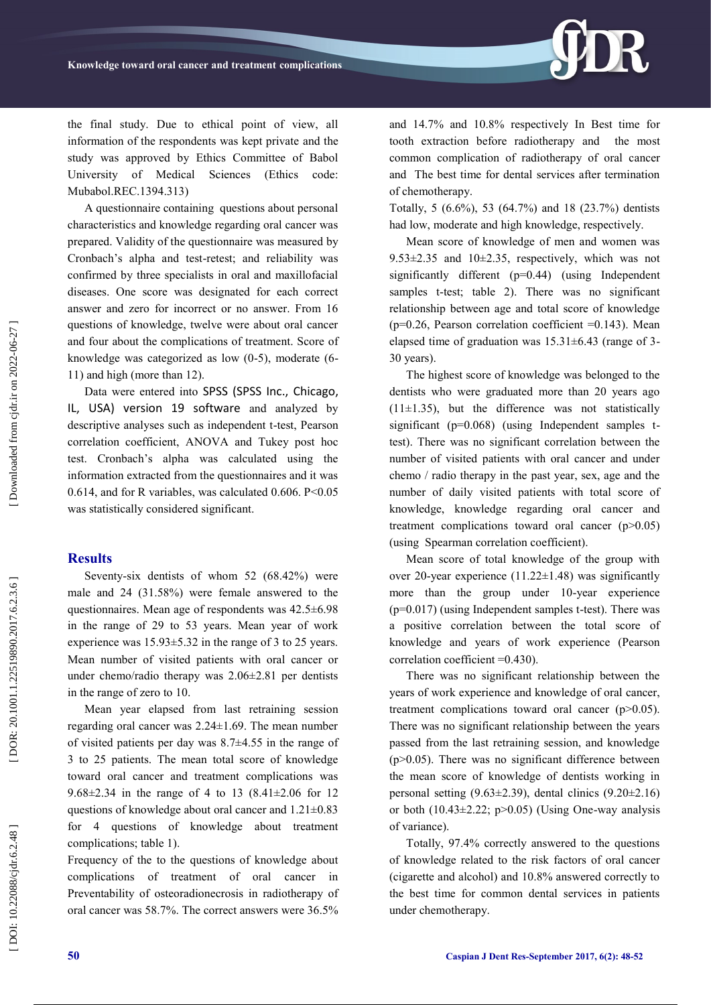the final study. Due to ethical point of view, all information of the respondents was kept private and the study was approved by Ethics Committee of Babol University of Medical Sciences (Ethics code: Mubabol.REC.1394.313)

A questionnaire containing questions about personal characteristics and knowledge regarding oral cancer was prepared. Validity of the questionnaire was measured by Cronbach's alpha and test -retest; and reliability was confirmed by three specialists in oral and maxillofacial diseases. One score was designated for each correct answer and zero for incorrect or no answer. From 16 questions of knowledge, twelve were about oral cancer and four about the complications of treatment. Score of knowledge was categorized as low (0-5), moderate (6-11) and high (more than 12).

Data were entered into SPSS (SPSS Inc., Chicago, IL, USA) version 19 software and analyzed by descriptive analyses such as independent t -test, Pearson correlation coefficient, ANOVA and Tukey post hoc test. Cronbach's alpha was calculated using the information extracted from the questionnaires and it was 0.614, and for R variables, was calculated 0.606. P<0.05 was statistically considered significant.

#### **Results**

Seventy -six dentists of whom 52 (68.42%) were male and 24 (31.58%) were female answered to the questionnaires. Mean age of respondents was 42.5±6.98 in the range of 29 to 53 years. Mean year of work experience was 15.93±5.32 in the range of 3 to 25 years. Mean number of visited patients with oral cancer or under chemo/radio therapy was 2.06±2.81 per dentists in the range of zero to 10.

Mean year elapsed from last retraining session regarding oral cancer was 2.24±1.69. The mean number of visited patients per day was 8.7±4.55 in the range of 3 to 25 patients. The mean total score of knowledge toward oral cancer and treatment complications was 9.68±2.34 in the range of 4 to 13 (8.41±2.06 for 12 questions of knowledge about oral cancer and 1.21±0.83 for 4 questions of knowledge about treatment complications; table 1).

Frequency of the to the questions of knowledge about complications of treatment of oral cancer in Preventability of osteoradionecrosis in radiotherapy of oral cancer was 58.7%. The correct answers were 36.5% and 14.7% and 10.8% respectively In Best time for tooth extraction before radiotherapy and the most common complication of radiotherapy of oral cancer and The best time for dental services after termination of chemotherapy.

Totally, 5 (6.6%), 53 (64.7%) and 18 (23.7%) dentists had low, moderate and high knowledge, respectively.

Mean score of knowledge of men and women was 9.53 $\pm$ 2.35 and 10 $\pm$ 2.35, respectively, which was not significantly different (p=0.44) (using Independent samples t-test; table 2). There was no significant relationship between age and total score of knowledge ( $p=0.26$ , Pearson correlation coefficient  $=0.143$ ). Mean elapsed time of graduation was  $15.31 \pm 6.43$  (range of 3-30 years).

The highest score of knowledge was belonged to the dentists who were graduated more than 20 years ago  $(11\pm1.35)$ , but the difference was not statistically significant  $(p=0.068)$  (using Independent samples ttest). There was no significant correlation between the number of visited patients with oral cancer and under chemo / radio therapy in the past year, sex, age and the number of daily visited patients with total score of knowledge, knowledge regarding oral cancer and treatment complications toward oral cancer (p>0.05) (using Spearman correlation coefficient).

Mean score of total knowledge of the group with over 20 -year experience (11.22±1.48) was significantly more than the group under 10-year experience (p=0.017) (using Independent samples t -test). There was a positive correlation between the total score of knowledge and years of work experience (Pearson correlation coefficient =0.430).

There was no significant relationship between the years of work experience and knowledge of oral cancer, treatment complications toward oral cancer (p>0.05). There was no significant relationship between the years passed from the last retraining session, and knowledge  $(p>0.05)$ . There was no significant difference between the mean score of knowledge of dentists working in personal setting  $(9.63\pm2.39)$ , dental clinics  $(9.20\pm2.16)$ or both  $(10.43 \pm 2.22; p > 0.05)$  (Using One-way analysis of variance).

Totally, 97.4% correctly answered to the questions of knowledge related to the risk factors of oral cancer (cigarette and alcohol) and 10.8% answered correctly to the best time for common dental services in patients under chemotherapy.

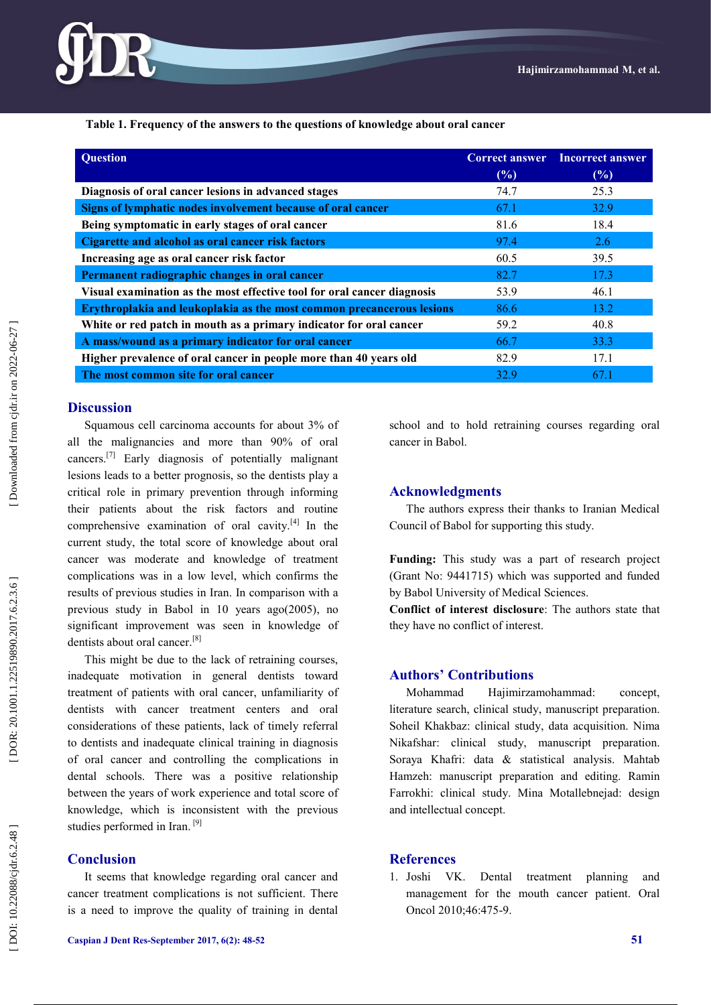

 **Table 1. Frequency of the answers to the questions of knowledge about oral cancer**

| <b>Question</b>                                                         | <b>Correct answer</b><br>(%) | <b>Incorrect answer</b><br>(%) |
|-------------------------------------------------------------------------|------------------------------|--------------------------------|
| Diagnosis of oral cancer lesions in advanced stages                     | 74.7                         | 25.3                           |
| Signs of lymphatic nodes involvement because of oral cancer             | 67.1                         | 32.9                           |
| Being symptomatic in early stages of oral cancer                        | 81.6                         | 18.4                           |
| Cigarette and alcohol as oral cancer risk factors                       | 97.4                         | 2.6                            |
| Increasing age as oral cancer risk factor                               | 60.5                         | 39.5                           |
| Permanent radiographic changes in oral cancer                           | 82.7                         | 17.3                           |
| Visual examination as the most effective tool for oral cancer diagnosis | 53.9                         | 46.1                           |
| Erythroplakia and leukoplakia as the most common precancerous lesions   | 86.6                         | 13.2                           |
| White or red patch in mouth as a primary indicator for oral cancer      | 59.2                         | 40.8                           |
| A mass/wound as a primary indicator for oral cancer                     | 66.7                         | 33.3                           |
| Higher prevalence of oral cancer in people more than 40 years old       | 82.9                         | 17.1                           |
| The most common site for oral cancer                                    | 32.9                         | 67.1                           |

#### **Discussion**

Squamous cell carcinoma accounts for about 3% of all the malignancies and more than 90% of oral cancers.<sup>[7]</sup> Early diagnosis of potentially malignant lesions leads to a better prognosis, so the dentists play a critical role in primary prevention through informing their patients about the risk factors and routine comprehensive examination of oral cavity. $[4]$  In the current study, the total score of knowledge about oral cancer was moderate and knowledge of treatment complications was in a low level, which confirms the results of previous studies in Iran . In comparison with a previous study in Babol in 10 years ago(2005), no significant improvement was seen in knowledge of dentists about oral cancer.<sup>[8]</sup>

This might be due to the lack of retraining courses, inadequate motivation in general dentists toward treatment of patients with oral cancer, unfamiliarity of dentists with cancer treatment centers and oral considerations of these patients, lack of timely referral to dentists and inadequate clinical training in diagnosis of oral cancer and controlling the complications in dental schools. There was a positive relationship between the years of work experience and total score of knowledge, which is inconsistent with the previous studies performed in Iran.<sup>[9]</sup>

#### **Conclusion**

It seems that knowledge regarding oral cancer and cancer treatment complications is not sufficient. There is a need to improve the quality of training in dental school and to hold retraining courses regarding oral cancer in Babol.

#### **Acknowledgments**

The authors express their thanks to Iranian Medical Council of Babol for supporting this study.

**Funding:** This study was a part of research project (Grant No: 9441715) which was supported and funded by Babol University of Medical Sciences.

**Conflict of interest disclosure**: The authors state that they have no conflict of interest.

## **Authors' Contributions**

Mohammad Hajimirzamohammad: concept, literature search, clinical study, manuscript preparation. Soheil Khakbaz: clinical study, data acquisition. Nima Nikafshar: clinical study, manuscript preparation. Soraya Khafri: data & statistical analysis. Mahtab Hamzeh: manuscript preparation and editing. Ramin Farrokhi: clinical study. Mina Motallebnejad: design and intellectual concept.

## **References**

1. [Joshi VK.](https://www.ncbi.nlm.nih.gov/pubmed/?term=Joshi%20VK%5BAuthor%5D&cauthor=true&cauthor_uid=20400359) Dental treatment planning and management for the mouth cancer patient. Oral Oncol 2010;46:475 -9.